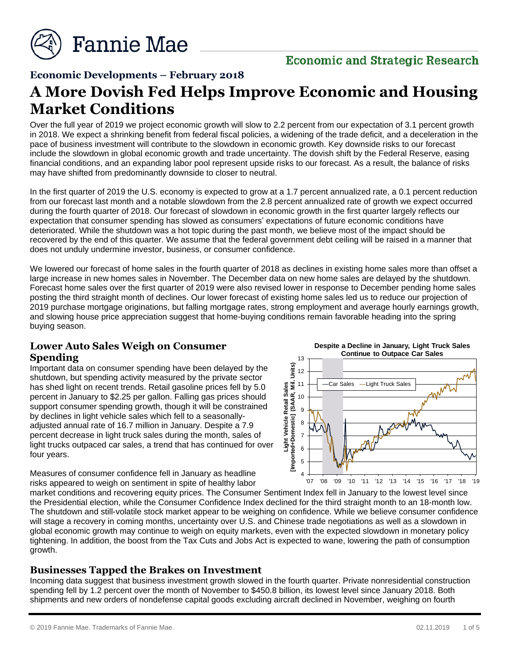

# **Economic and Strategic Research**

#### **Economic Developments – February 2018**

# **A More Dovish Fed Helps Improve Economic and Housing Market Conditions**

Over the full year of 2019 we project economic growth will slow to 2.2 percent from our expectation of 3.1 percent growth in 2018. We expect a shrinking benefit from federal fiscal policies, a widening of the trade deficit, and a deceleration in the pace of business investment will contribute to the slowdown in economic growth. Key downside risks to our forecast include the slowdown in global economic growth and trade uncertainty. The dovish shift by the Federal Reserve, easing financial conditions, and an expanding labor pool represent upside risks to our forecast. As a result, the balance of risks may have shifted from predominantly downside to closer to neutral.

In the first quarter of 2019 the U.S. economy is expected to grow at a 1.7 percent annualized rate, a 0.1 percent reduction from our forecast last month and a notable slowdown from the 2.8 percent annualized rate of growth we expect occurred during the fourth quarter of 2018. Our forecast of slowdown in economic growth in the first quarter largely reflects our expectation that consumer spending has slowed as consumers' expectations of future economic conditions have deteriorated. While the shutdown was a hot topic during the past month, we believe most of the impact should be recovered by the end of this quarter. We assume that the federal government debt ceiling will be raised in a manner that does not unduly undermine investor, business, or consumer confidence.

We lowered our forecast of home sales in the fourth quarter of 2018 as declines in existing home sales more than offset a large increase in new homes sales in November. The December data on new home sales are delayed by the shutdown. Forecast home sales over the first quarter of 2019 were also revised lower in response to December pending home sales posting the third straight month of declines. Our lower forecast of existing home sales led us to reduce our projection of 2019 purchase mortgage originations, but falling mortgage rates, strong employment and average hourly earnings growth, and slowing house price appreciation suggest that home-buying conditions remain favorable heading into the spring buying season.

#### **Lower Auto Sales Weigh on Consumer Spending**

Important data on consumer spending have been delayed by the shutdown, but spending activity measured by the private sector has shed light on recent trends. Retail gasoline prices fell by 5.0 percent in January to \$2.25 per gallon. Falling gas prices should support consumer spending growth, though it will be constrained by declines in light vehicle sales which fell to a seasonallyadjusted annual rate of 16.7 million in January. Despite a 7.9 percent decrease in light truck sales during the month, sales of light trucks outpaced car sales, a trend that has continued for over four years.



**Despite a Decline in January, Light Truck Sales** 

Measures of consumer confidence fell in January as headline risks appeared to weigh on sentiment in spite of healthy labor

market conditions and recovering equity prices. The Consumer Sentiment Index fell in January to the lowest level since the Presidential election, while the Consumer Confidence Index declined for the third straight month to an 18-month low. The shutdown and still-volatile stock market appear to be weighing on confidence. While we believe consumer confidence will stage a recovery in coming months, uncertainty over U.S. and Chinese trade negotiations as well as a slowdown in global economic growth may continue to weigh on equity markets, even with the expected slowdown in monetary policy tightening. In addition, the boost from the Tax Cuts and Jobs Act is expected to wane, lowering the path of consumption growth.

#### **Businesses Tapped the Brakes on Investment**

Incoming data suggest that business investment growth slowed in the fourth quarter. Private nonresidential construction spending fell by 1.2 percent over the month of November to \$450.8 billion, its lowest level since January 2018. Both shipments and new orders of nondefense capital goods excluding aircraft declined in November, weighing on fourth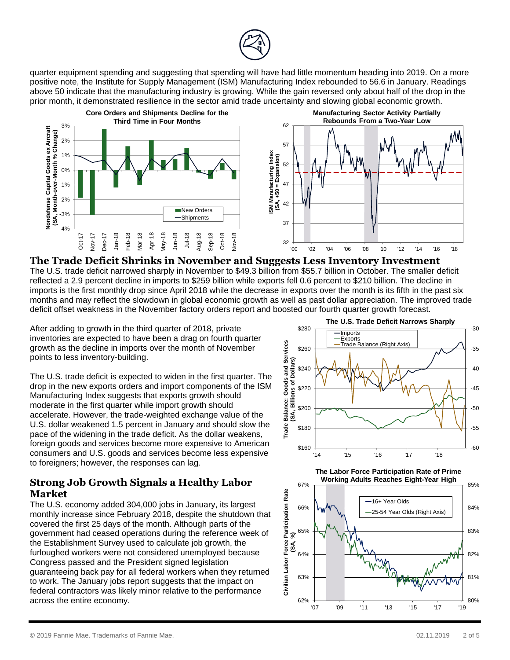

quarter equipment spending and suggesting that spending will have had little momentum heading into 2019. On a more positive note, the Institute for Supply Management (ISM) Manufacturing Index rebounded to 56.6 in January. Readings above 50 indicate that the manufacturing industry is growing. While the gain reversed only about half of the drop in the prior month, it demonstrated resilience in the sector amid trade uncertainty and slowing global economic growth.



**The Trade Deficit Shrinks in November and Suggests Less Inventory Investment** The U.S. trade deficit narrowed sharply in November to \$49.3 billion from \$55.7 billion in October. The smaller deficit reflected a 2.9 percent decline in imports to \$259 billion while exports fell 0.6 percent to \$210 billion. The decline in imports is the first monthly drop since April 2018 while the decrease in exports over the month is its fifth in the past six months and may reflect the slowdown in global economic growth as well as past dollar appreciation. The improved trade deficit offset weakness in the November factory orders report and boosted our fourth quarter growth forecast.

After adding to growth in the third quarter of 2018, private inventories are expected to have been a drag on fourth quarter growth as the decline in imports over the month of November points to less inventory-building.

The U.S. trade deficit is expected to widen in the first quarter. The drop in the new exports orders and import components of the ISM Manufacturing Index suggests that exports growth should moderate in the first quarter while import growth should accelerate. However, the trade-weighted exchange value of the U.S. dollar weakened 1.5 percent in January and should slow the pace of the widening in the trade deficit. As the dollar weakens, foreign goods and services become more expensive to American consumers and U.S. goods and services become less expensive to foreigners; however, the responses can lag.

# **Strong Job Growth Signals a Healthy Labor Market**

The U.S. economy added 304,000 jobs in January, its largest monthly increase since February 2018, despite the shutdown that covered the first 25 days of the month. Although parts of the government had ceased operations during the reference week of the Establishment Survey used to calculate job growth, the furloughed workers were not considered unemployed because Congress passed and the President signed legislation guaranteeing back pay for all federal workers when they returned to work. The January jobs report suggests that the impact on federal contractors was likely minor relative to the performance across the entire economy.



**The Labor Force Participation Rate of Prime Working Adults Reaches Eight-Year High**

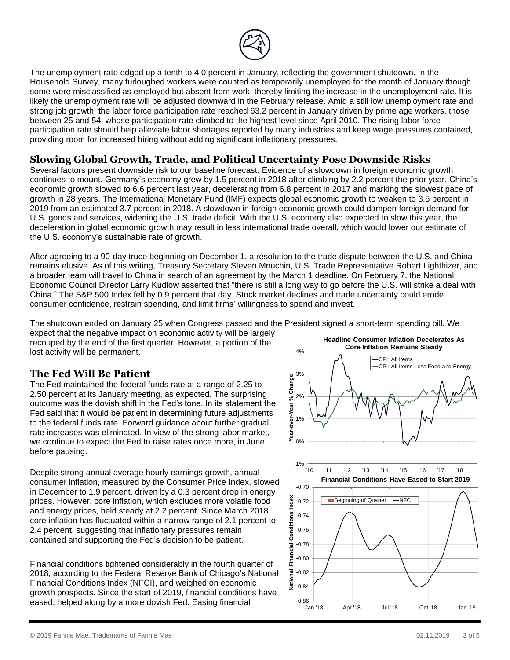

The unemployment rate edged up a tenth to 4.0 percent in January, reflecting the government shutdown. In the Household Survey, many furloughed workers were counted as temporarily unemployed for the month of January though some were misclassified as employed but absent from work, thereby limiting the increase in the unemployment rate. It is likely the unemployment rate will be adjusted downward in the February release. Amid a still low unemployment rate and strong job growth, the labor force participation rate reached 63.2 percent in January driven by prime age workers, those between 25 and 54, whose participation rate climbed to the highest level since April 2010. The rising labor force participation rate should help alleviate labor shortages reported by many industries and keep wage pressures contained, providing room for increased hiring without adding significant inflationary pressures.

#### **Slowing Global Growth, Trade, and Political Uncertainty Pose Downside Risks**

Several factors present downside risk to our baseline forecast. Evidence of a slowdown in foreign economic growth continues to mount. Germany's economy grew by 1.5 percent in 2018 after climbing by 2.2 percent the prior year. China's economic growth slowed to 6.6 percent last year, decelerating from 6.8 percent in 2017 and marking the slowest pace of growth in 28 years. The International Monetary Fund (IMF) expects global economic growth to weaken to 3.5 percent in 2019 from an estimated 3.7 percent in 2018. A slowdown in foreign economic growth could dampen foreign demand for U.S. goods and services, widening the U.S. trade deficit. With the U.S. economy also expected to slow this year, the deceleration in global economic growth may result in less international trade overall, which would lower our estimate of the U.S. economy's sustainable rate of growth.

After agreeing to a 90-day truce beginning on December 1, a resolution to the trade dispute between the U.S. and China remains elusive. As of this writing, Treasury Secretary Steven Mnuchin, U.S. Trade Representative Robert Lighthizer, and a broader team will travel to China in search of an agreement by the March 1 deadline. On February 7, the National Economic Council Director Larry Kudlow asserted that "there is still a long way to go before the U.S. will strike a deal with China." The S&P 500 Index fell by 0.9 percent that day. Stock market declines and trade uncertainty could erode consumer confidence, restrain spending, and limit firms' willingness to spend and invest.

The shutdown ended on January 25 when Congress passed and the President signed a short-term spending bill. We

expect that the negative impact on economic activity will be largely recouped by the end of the first quarter. However, a portion of the lost activity will be permanent.

# **The Fed Will Be Patient**

The Fed maintained the federal funds rate at a range of 2.25 to 2.50 percent at its January meeting, as expected. The surprising outcome was the dovish shift in the Fed's tone. In its statement the Fed said that it would be patient in determining future adjustments to the federal funds rate. Forward guidance about further gradual rate increases was eliminated. In view of the strong labor market, we continue to expect the Fed to raise rates once more, in June, before pausing.

Despite strong annual average hourly earnings growth, annual consumer inflation, measured by the Consumer Price Index, slowed in December to 1.9 percent, driven by a 0.3 percent drop in energy prices. However, core inflation, which excludes more volatile food and energy prices, held steady at 2.2 percent. Since March 2018 core inflation has fluctuated within a narrow range of 2.1 percent to 2.4 percent, suggesting that inflationary pressures remain contained and supporting the Fed's decision to be patient.

Financial conditions tightened considerably in the fourth quarter of 2018, according to the Federal Reserve Bank of Chicago's National Financial Conditions Index (NFCI), and weighed on economic growth prospects. Since the start of 2019, financial conditions have eased, helped along by a more dovish Fed. Easing financial

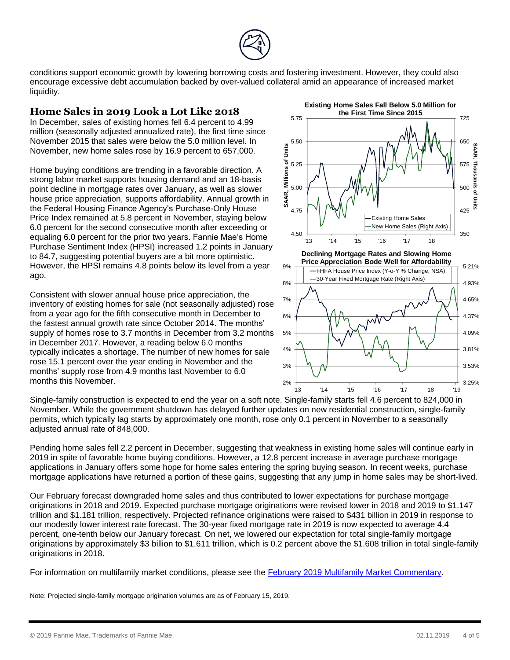conditions support economic growth by lowering borrowing costs and fostering investment. However, they could also encourage excessive debt accumulation backed by over-valued collateral amid an appearance of increased market liquidity.

### **Home Sales in 2019 Look a Lot Like 2018**

In December, sales of existing homes fell 6.4 percent to 4.99 million (seasonally adjusted annualized rate), the first time since November 2015 that sales were below the 5.0 million level. In November, new home sales rose by 16.9 percent to 657,000.

Home buying conditions are trending in a favorable direction. A strong labor market supports housing demand and an 18-basis point decline in mortgage rates over January, as well as slower house price appreciation, supports affordability. Annual growth in the Federal Housing Finance Agency's Purchase-Only House Price Index remained at 5.8 percent in November, staying below 6.0 percent for the second consecutive month after exceeding or equaling 6.0 percent for the prior two years. Fannie Mae's Home Purchase Sentiment Index (HPSI) increased 1.2 points in January to 84.7, suggesting potential buyers are a bit more optimistic. However, the HPSI remains 4.8 points below its level from a year ago.

Consistent with slower annual house price appreciation, the inventory of existing homes for sale (not seasonally adjusted) rose from a year ago for the fifth consecutive month in December to the fastest annual growth rate since October 2014. The months' supply of homes rose to 3.7 months in December from 3.2 months in December 2017. However, a reading below 6.0 months typically indicates a shortage. The number of new homes for sale rose 15.1 percent over the year ending in November and the months' supply rose from 4.9 months last November to 6.0 months this November.





Single-family construction is expected to end the year on a soft note. Single-family starts fell 4.6 percent to 824,000 in November. While the government shutdown has delayed further updates on new residential construction, single-family permits, which typically lag starts by approximately one month, rose only 0.1 percent in November to a seasonally adjusted annual rate of 848,000.

Pending home sales fell 2.2 percent in December, suggesting that weakness in existing home sales will continue early in 2019 in spite of favorable home buying conditions. However, a 12.8 percent increase in average purchase mortgage applications in January offers some hope for home sales entering the spring buying season. In recent weeks, purchase mortgage applications have returned a portion of these gains, suggesting that any jump in home sales may be short-lived.

Our February forecast downgraded home sales and thus contributed to lower expectations for purchase mortgage originations in 2018 and 2019. Expected purchase mortgage originations were revised lower in 2018 and 2019 to \$1.147 trillion and \$1.181 trillion, respectively. Projected refinance originations were raised to \$431 billion in 2019 in response to our modestly lower interest rate forecast. The 30-year fixed mortgage rate in 2019 is now expected to average 4.4 percent, one-tenth below our January forecast. On net, we lowered our expectation for total single-family mortgage originations by approximately \$3 billion to \$1.611 trillion, which is 0.2 percent above the \$1.608 trillion in total single-family originations in 2018.

For information on multifamily market conditions, please see the **February 2019 Multifamily Market Commentary**.

Note: Projected single-family mortgage origination volumes are as of February 15, 2019.